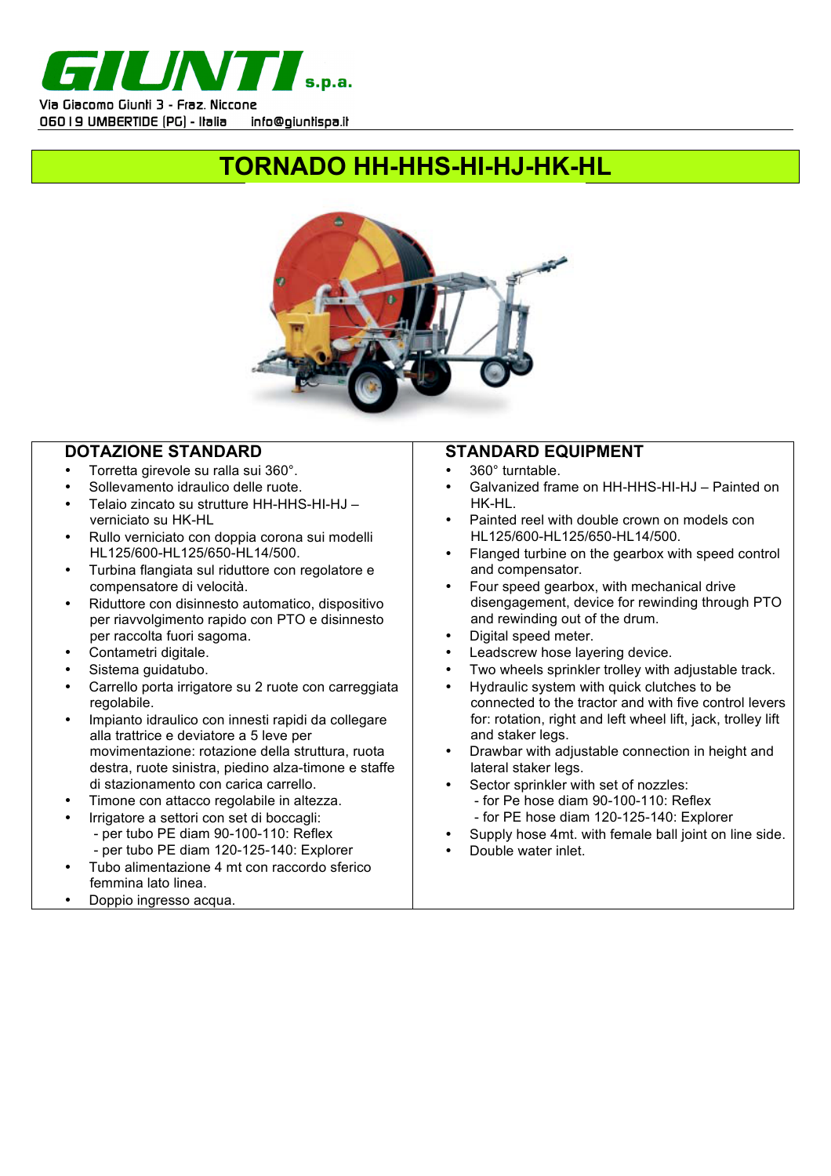

# **TORNADO HH-HHS-HI-HJ-HK-HL**



### **DOTAZIONE STANDARD**

- Torretta girevole su ralla sui 360°.
- Sollevamento idraulico delle ruote.
- Telaio zincato su strutture HH-HHS-HI-HJ verniciato su HK-HL
- Rullo verniciato con doppia corona sui modelli HL125/600-HL125/650-HL14/500.
- Turbina flangiata sul riduttore con regolatore e compensatore di velocità.
- Riduttore con disinnesto automatico, dispositivo per riavvolgimento rapido con PTO e disinnesto per raccolta fuori sagoma.
- Contametri digitale.
- Sistema guidatubo.
- Carrello porta irrigatore su 2 ruote con carreggiata regolabile.
- Impianto idraulico con innesti rapidi da collegare alla trattrice e deviatore a 5 leve per movimentazione: rotazione della struttura, ruota destra, ruote sinistra, piedino alza-timone e staffe di stazionamento con carica carrello.
- Timone con attacco regolabile in altezza.
	- Irrigatore a settori con set di boccagli:
		- per tubo PE diam 90-100-110: Reflex
		- per tubo PE diam 120-125-140: Explorer
- Tubo alimentazione 4 mt con raccordo sferico femmina lato linea.
- Doppio ingresso acqua.

## **STANDARD EQUIPMENT**

- 360° turntable.
- Galvanized frame on HH-HHS-HI-HJ Painted on HK-HL.
- Painted reel with double crown on models con HL125/600-HL125/650-HL14/500.
- Flanged turbine on the gearbox with speed control and compensator.
- Four speed gearbox, with mechanical drive disengagement, device for rewinding through PTO and rewinding out of the drum.
- Digital speed meter.
- Leadscrew hose layering device.
- Two wheels sprinkler trolley with adjustable track.
- Hydraulic system with quick clutches to be connected to the tractor and with five control levers for: rotation, right and left wheel lift, jack, trolley lift and staker legs.
- Drawbar with adjustable connection in height and lateral staker legs.
- Sector sprinkler with set of nozzles: - for Pe hose diam 90-100-110: Reflex - for PE hose diam 120-125-140: Explorer
- Supply hose 4mt. with female ball joint on line side.
- Double water inlet.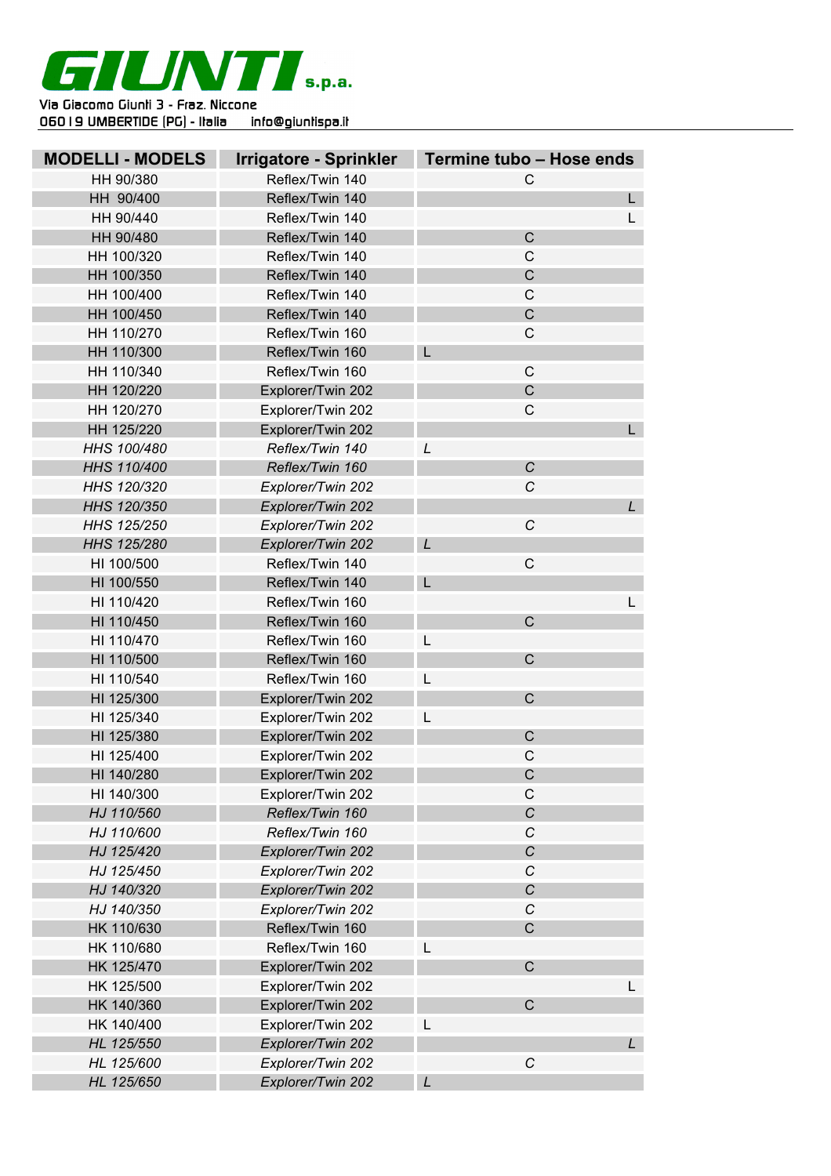

| <b>MODELLI - MODELS</b> | <b>Irrigatore - Sprinkler</b> | Termine tubo - Hose ends |
|-------------------------|-------------------------------|--------------------------|
| HH 90/380               | Reflex/Twin 140               | C                        |
| HH 90/400               | Reflex/Twin 140               | L.                       |
| HH 90/440               | Reflex/Twin 140               | $\mathsf{L}$             |
| HH 90/480               | Reflex/Twin 140               | $\mathsf{C}$             |
| HH 100/320              | Reflex/Twin 140               | $\mathsf{C}$             |
| HH 100/350              | Reflex/Twin 140               | $\overline{C}$           |
| HH 100/400              | Reflex/Twin 140               | $\mathsf{C}$             |
| HH 100/450              | Reflex/Twin 140               | $\mathsf C$              |
| HH 110/270              | Reflex/Twin 160               | $\mathsf C$              |
| HH 110/300              | Reflex/Twin 160               | L                        |
| HH 110/340              | Reflex/Twin 160               | $\mathsf{C}$             |
| HH 120/220              | Explorer/Twin 202             | $\overline{C}$           |
| HH 120/270              | Explorer/Twin 202             | $\mathsf C$              |
| HH 125/220              | Explorer/Twin 202             | L                        |
| HHS 100/480             | Reflex/Twin 140               | L                        |
| HHS 110/400             | Reflex/Twin 160               | $\mathcal{C}$            |
| HHS 120/320             | Explorer/Twin 202             | C                        |
| HHS 120/350             | Explorer/Twin 202             | $\mathsf{L}$             |
| HHS 125/250             | Explorer/Twin 202             | C                        |
| HHS 125/280             | Explorer/Twin 202             | L                        |
| HI 100/500              | Reflex/Twin 140               | $\mathsf{C}$             |
| HI 100/550              | Reflex/Twin 140               | L                        |
| HI 110/420              | Reflex/Twin 160               | L.                       |
| HI 110/450              | Reflex/Twin 160               | $\mathsf{C}$             |
| HI 110/470              | Reflex/Twin 160               | L                        |
| HI 110/500              | Reflex/Twin 160               | $\mathsf{C}$             |
| HI 110/540              | Reflex/Twin 160               | L                        |
| HI 125/300              | Explorer/Twin 202             | $\mathsf{C}$             |
| HI 125/340              | Explorer/Twin 202             |                          |
| HI 125/380              | Explorer/Twin 202             | $\mathsf{C}$             |
| HI 125/400              | Explorer/Twin 202             | $\mathsf{C}$             |
| HI 140/280              | Explorer/Twin 202             | $\mathsf C$              |
| HI 140/300              | Explorer/Twin 202             | $\mathsf C$              |
| HJ 110/560              | Reflex/Twin 160               | $\overline{C}$           |
| HJ 110/600              | Reflex/Twin 160               | $\cal C$                 |
| HJ 125/420              | Explorer/Twin 202             | C                        |
| HJ 125/450              | Explorer/Twin 202             | $\cal C$                 |
| HJ 140/320              | Explorer/Twin 202             | C                        |
| HJ 140/350              | Explorer/Twin 202             | $\mathcal{C}$            |
| HK 110/630              | Reflex/Twin 160               | $\overline{C}$           |
| HK 110/680              | Reflex/Twin 160               | L                        |
| HK 125/470              | Explorer/Twin 202             | $\mathsf C$              |
| HK 125/500              | Explorer/Twin 202             | L.                       |
| HK 140/360              | Explorer/Twin 202             | $\mathsf{C}$             |
| HK 140/400              | Explorer/Twin 202             | L                        |
| HL 125/550              | Explorer/Twin 202             | L                        |
| HL 125/600              | Explorer/Twin 202             | $\cal C$                 |
| HL 125/650              | Explorer/Twin 202             | L                        |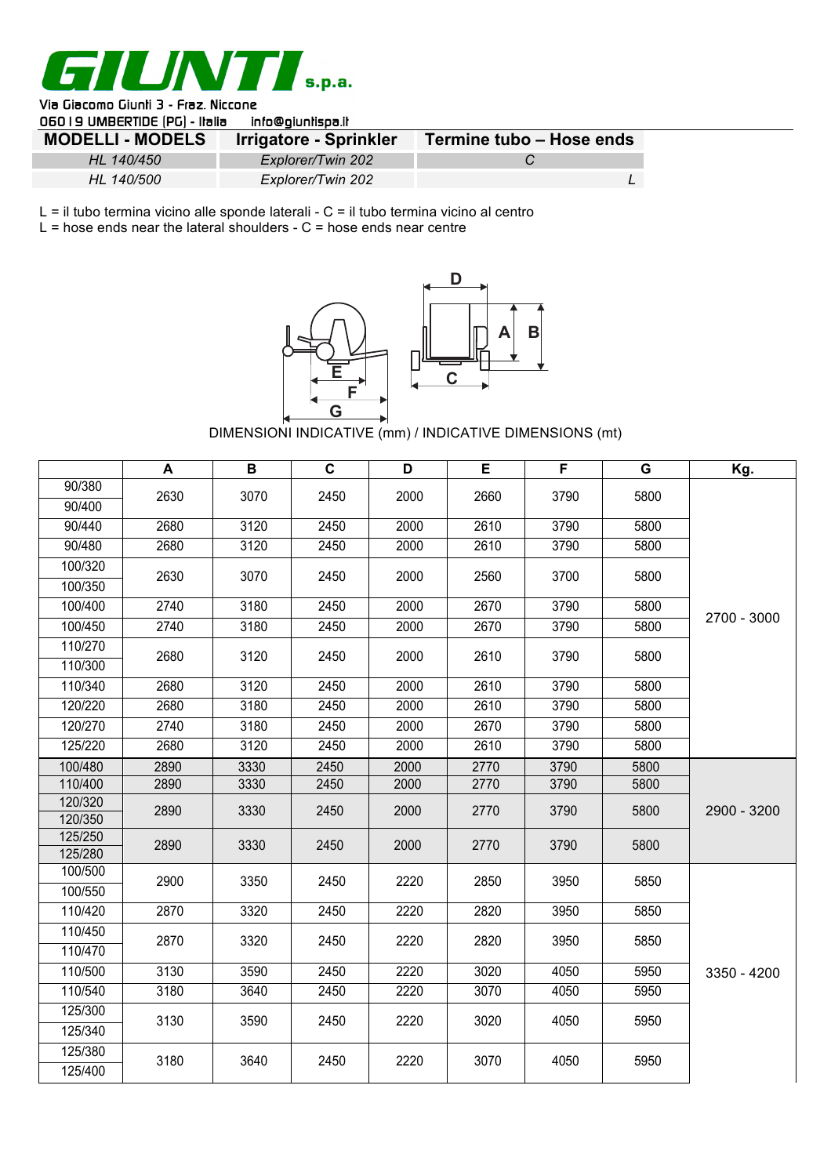

#### Via Giacomo Giunli 3 - Fraz. Niccone OSO LO LIMBERTIDE (DC) - Italia info@ojunticaa it

| <b>UUU I 3 UNDERTIDE IFUI - HOHO</b><br>וווטשטווווסונא |                        |                          |  |  |  |  |  |
|--------------------------------------------------------|------------------------|--------------------------|--|--|--|--|--|
| <b>MODELLI - MODELS</b>                                | Irrigatore - Sprinkler | Termine tubo - Hose ends |  |  |  |  |  |
| HL 140/450                                             | Explorer/Twin 202      |                          |  |  |  |  |  |
| HL 140/500                                             | Explorer/Twin 202      |                          |  |  |  |  |  |

L = il tubo termina vicino alle sponde laterali - C = il tubo termina vicino al centro

 $L =$  hose ends near the lateral shoulders -  $C =$  hose ends near centre



DIMENSIONI INDICATIVE (mm) / INDICATIVE DIMENSIONS (mt)

|                    | A    | B    | $\mathbf c$ | D    | E    | F    | G    | Kg.         |
|--------------------|------|------|-------------|------|------|------|------|-------------|
| 90/380             | 2630 | 3070 | 2450        | 2000 | 2660 | 3790 | 5800 |             |
| 90/400             |      |      |             |      |      |      |      |             |
| 90/440             | 2680 | 3120 | 2450        | 2000 | 2610 | 3790 | 5800 |             |
| 90/480             | 2680 | 3120 | 2450        | 2000 | 2610 | 3790 | 5800 |             |
| 100/320            | 2630 | 3070 | 2450        | 2000 | 2560 | 3700 | 5800 |             |
| 100/350            |      |      |             |      |      |      |      |             |
| 100/400            | 2740 | 3180 | 2450        | 2000 | 2670 | 3790 | 5800 | 2700 - 3000 |
| 100/450            | 2740 | 3180 | 2450        | 2000 | 2670 | 3790 | 5800 |             |
| 110/270            | 2680 | 3120 | 2450        | 2000 | 2610 | 3790 | 5800 |             |
| 110/300            |      |      |             |      |      |      |      |             |
| 110/340            | 2680 | 3120 | 2450        | 2000 | 2610 | 3790 | 5800 |             |
| 120/220            | 2680 | 3180 | 2450        | 2000 | 2610 | 3790 | 5800 |             |
| 120/270            | 2740 | 3180 | 2450        | 2000 | 2670 | 3790 | 5800 |             |
| 125/220            | 2680 | 3120 | 2450        | 2000 | 2610 | 3790 | 5800 |             |
| 100/480            | 2890 | 3330 | 2450        | 2000 | 2770 | 3790 | 5800 |             |
| 110/400            | 2890 | 3330 | 2450        | 2000 | 2770 | 3790 | 5800 |             |
| 120/320            | 2890 | 3330 | 2450        | 2000 | 2770 | 3790 | 5800 | 2900 - 3200 |
| 120/350            |      |      |             |      |      |      |      |             |
| 125/250<br>125/280 | 2890 | 3330 | 2450        | 2000 | 2770 | 3790 | 5800 |             |
| 100/500            |      |      |             |      |      |      |      |             |
| 100/550            | 2900 | 3350 | 2450        | 2220 | 2850 | 3950 | 5850 |             |
| 110/420            | 2870 | 3320 | 2450        | 2220 | 2820 | 3950 | 5850 |             |
| 110/450            |      |      |             |      |      |      |      |             |
| 110/470            | 2870 | 3320 | 2450        | 2220 | 2820 | 3950 | 5850 |             |
| 110/500            | 3130 | 3590 | 2450        | 2220 | 3020 | 4050 | 5950 | 3350 - 4200 |
| 110/540            | 3180 | 3640 | 2450        | 2220 | 3070 | 4050 | 5950 |             |
| 125/300            |      |      |             |      |      |      |      |             |
| 125/340            | 3130 | 3590 | 2450        | 2220 | 3020 | 4050 | 5950 |             |
| 125/380            |      |      |             |      |      |      |      |             |
| 125/400            | 3180 | 3640 | 2450        | 2220 | 3070 | 4050 | 5950 |             |